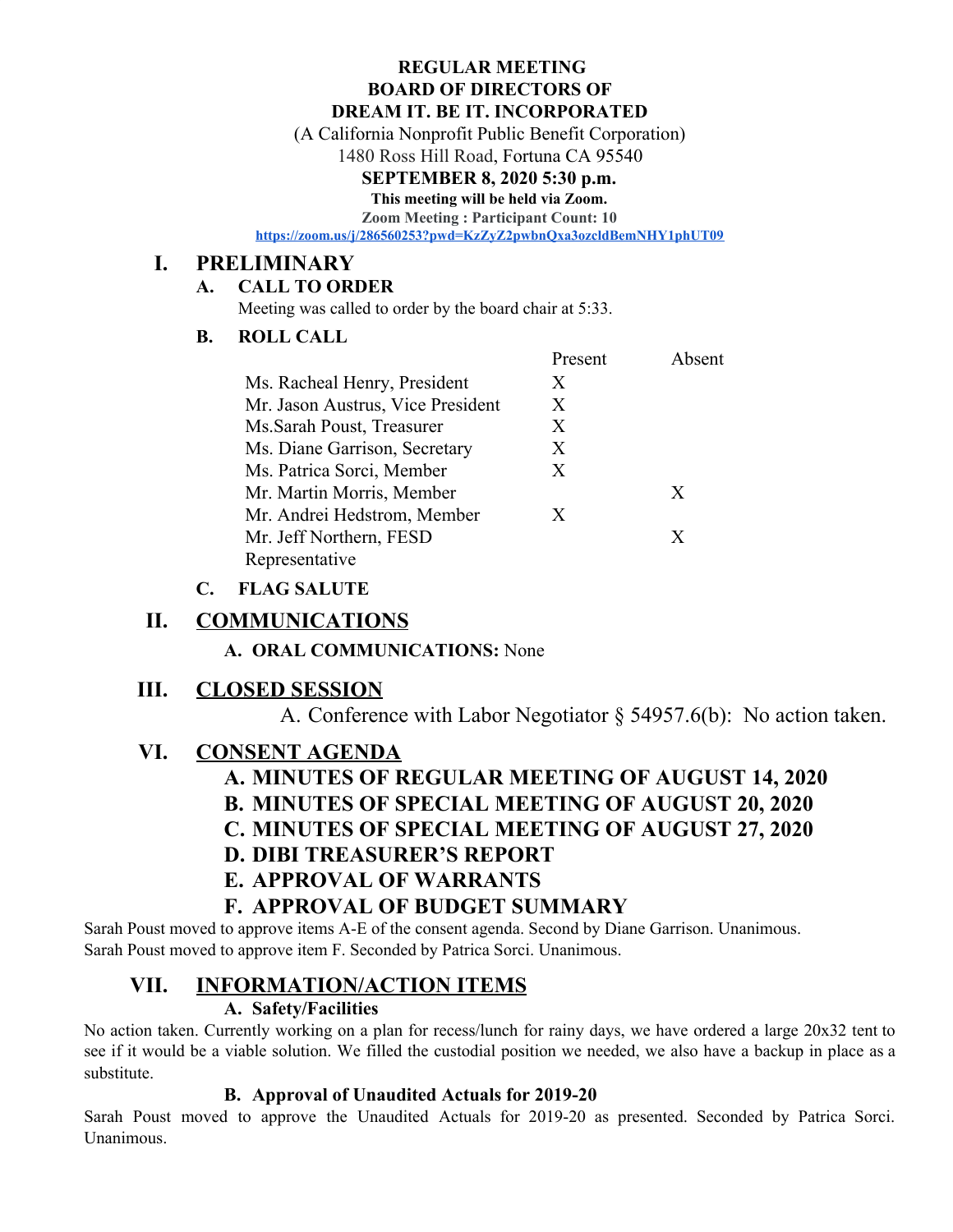#### **REGULAR MEETING BOARD OF DIRECTORS OF DREAM IT. BE IT. INCORPORATED**

(A California Nonprofit Public Benefit Corporation)

1480 Ross Hill Road, Fortuna CA 95540

#### **SEPTEMBER 8, 2020 5:30 p.m.**

**This meeting will be held via Zoom.**

**Zoom Meeting : Participant Count: 10**

**<https://zoom.us/j/286560253?pwd=KzZyZ2pwbnQxa3ozcldBemNHY1phUT09>**

### **I. PRELIMINARY**

#### **A. CALL TO ORDER**

Meeting was called to order by the board chair at 5:33.

#### **B. ROLL CALL**

|                                   | Present | Absent |
|-----------------------------------|---------|--------|
| Ms. Racheal Henry, President      | X       |        |
| Mr. Jason Austrus, Vice President | Χ       |        |
| Ms.Sarah Poust, Treasurer         | X       |        |
| Ms. Diane Garrison, Secretary     | X       |        |
| Ms. Patrica Sorci, Member         | X       |        |
| Mr. Martin Morris, Member         |         | X      |
| Mr. Andrei Hedstrom, Member       | X.      |        |
| Mr. Jeff Northern, FESD           |         | X      |
| Representative                    |         |        |

#### **C. FLAG SALUTE**

### **II. COMMUNICATIONS**

**A. ORAL COMMUNICATIONS:** None

### **III. CLOSED SESSION**

A. Conference with Labor Negotiator § 54957.6(b): No action taken.

### **VI. CONSENT AGENDA**

# **A. MINUTES OF REGULAR MEETING OF AUGUST 14, 2020**

**B. MINUTES OF SPECIAL MEETING OF AUGUST 20, 2020**

**C. MINUTES OF SPECIAL MEETING OF AUGUST 27, 2020**

### **D. DIBI TREASURER'S REPORT**

### **E. APPROVAL OF WARRANTS**

### **F. APPROVAL OF BUDGET SUMMARY**

Sarah Poust moved to approve items A-E of the consent agenda. Second by Diane Garrison. Unanimous. Sarah Poust moved to approve item F. Seconded by Patrica Sorci. Unanimous.

# **VII. INFORMATION/ACTION ITEMS**

#### **A. Safety/Facilities**

No action taken. Currently working on a plan for recess/lunch for rainy days, we have ordered a large 20x32 tent to see if it would be a viable solution. We filled the custodial position we needed, we also have a backup in place as a substitute.

#### **B. Approval of Unaudited Actuals for 2019-20**

Sarah Poust moved to approve the Unaudited Actuals for 2019-20 as presented. Seconded by Patrica Sorci. Unanimous.